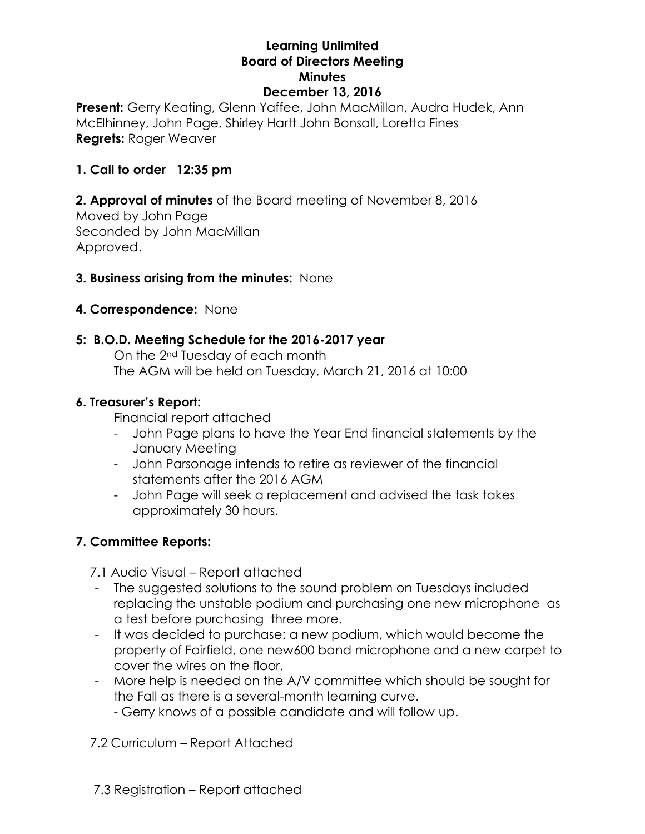#### **Learning Unlimited Board of Directors Meeting Minutes December 13, 2016**

**Present:** Gerry Keating, Glenn Yaffee, John MacMillan, Audra Hudek, Ann McElhinney, John Page, Shirley Hartt John Bonsall, Loretta Fines **Regrets:** Roger Weaver

# **1. Call to order 12:35 pm**

**2. Approval of minutes** of the Board meeting of November 8, 2016 Moved by John Page Seconded by John MacMillan Approved.

## **3. Business arising from the minutes:** None

## **4. Correspondence:** None

# **5: B.O.D. Meeting Schedule for the 2016-2017 year**

On the 2nd Tuesday of each month The AGM will be held on Tuesday, March 21, 2016 at 10:00

## **6. Treasurer's Report:**

Financial report attached

- John Page plans to have the Year End financial statements by the January Meeting
- John Parsonage intends to retire as reviewer of the financial statements after the 2016 AGM
- John Page will seek a replacement and advised the task takes approximately 30 hours.

# **7. Committee Reports:**

7.1 Audio Visual – Report attached

- The suggested solutions to the sound problem on Tuesdays included replacing the unstable podium and purchasing one new microphone as a test before purchasing three more.
- It was decided to purchase: a new podium, which would become the property of Fairfield, one new600 band microphone and a new carpet to cover the wires on the floor.
- More help is needed on the A/V committee which should be sought for the Fall as there is a several-month learning curve.
	- Gerry knows of a possible candidate and will follow up.
- 7.2 Curriculum Report Attached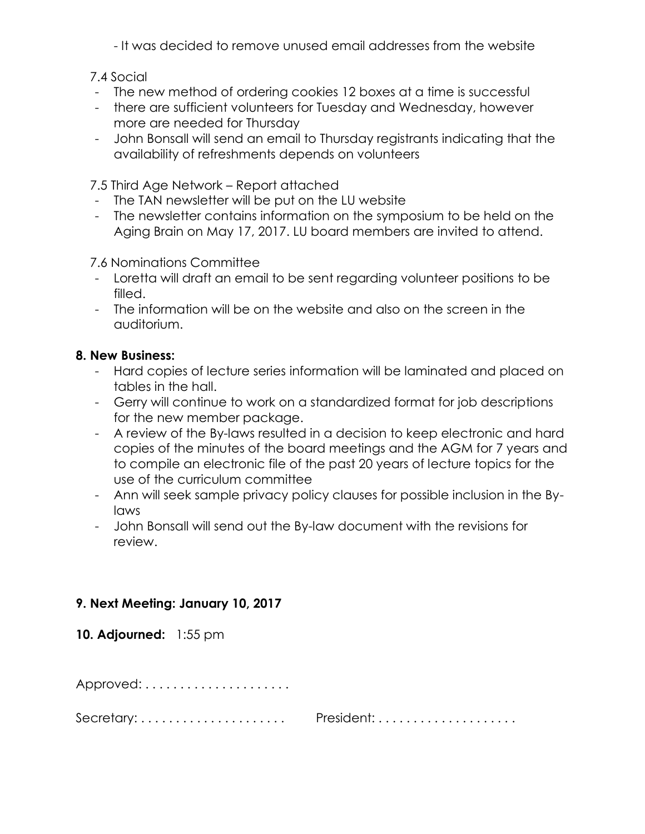- It was decided to remove unused email addresses from the website

## 7.4 Social

- The new method of ordering cookies 12 boxes at a time is successful
- there are sufficient volunteers for Tuesday and Wednesday, however more are needed for Thursday
- John Bonsall will send an email to Thursday registrants indicating that the availability of refreshments depends on volunteers

7.5 Third Age Network – Report attached

- The TAN newsletter will be put on the LU website
- The newsletter contains information on the symposium to be held on the Aging Brain on May 17, 2017. LU board members are invited to attend.

7.6 Nominations Committee

- Loretta will draft an email to be sent regarding volunteer positions to be filled.
- The information will be on the website and also on the screen in the auditorium.

# **8. New Business:**

- Hard copies of lecture series information will be laminated and placed on tables in the hall.
- Gerry will continue to work on a standardized format for job descriptions for the new member package.
- A review of the By-laws resulted in a decision to keep electronic and hard copies of the minutes of the board meetings and the AGM for 7 years and to compile an electronic file of the past 20 years of lecture topics for the use of the curriculum committee
- Ann will seek sample privacy policy clauses for possible inclusion in the Bylaws
- John Bonsall will send out the By-law document with the revisions for review.

# **9. Next Meeting: January 10, 2017**

**10. Adjourned:** 1:55 pm

Approved: . . . . . . . . . . . . . . . . . . . . .

Secretary: . . . . . . . . . . . . . . . . . . . . . President: . . . . . . . . . . . . . . . . . . . .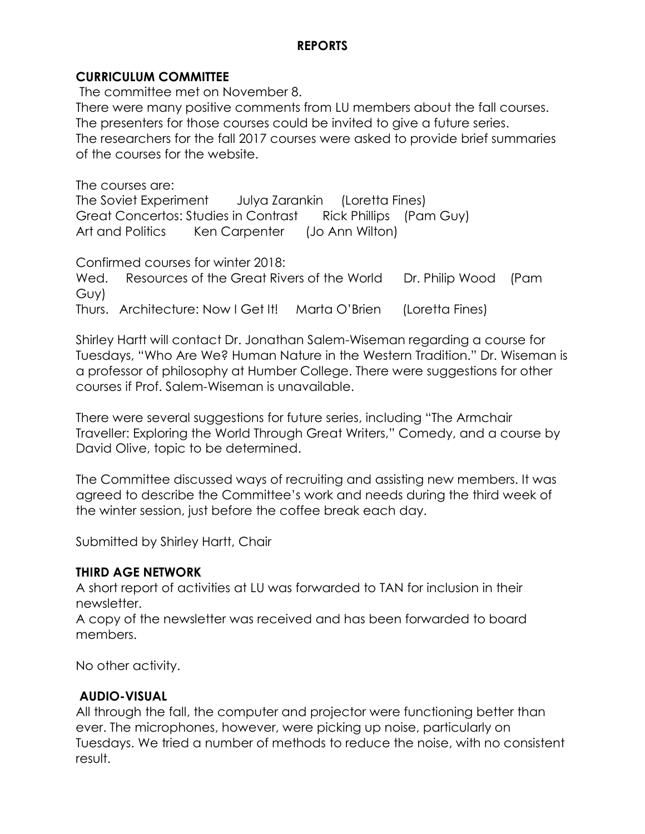#### **REPORTS**

#### **CURRICULUM COMMITTEE**

The committee met on November 8. There were many positive comments from LU members about the fall courses. The presenters for those courses could be invited to give a future series. The researchers for the fall 2017 courses were asked to provide brief summaries of the courses for the website.

The courses are: The Soviet Experiment Julya Zarankin (Loretta Fines) Great Concertos: Studies in Contrast Rick Phillips (Pam Guy) Art and Politics Ken Carpenter (Jo Ann Wilton)

Confirmed courses for winter 2018:

Wed. Resources of the Great Rivers of the World Dr. Philip Wood (Pam Guy) Thurs. Architecture: Now I Get It! Marta O'Brien (Loretta Fines)

Shirley Hartt will contact Dr. Jonathan Salem-Wiseman regarding a course for Tuesdays, "Who Are We? Human Nature in the Western Tradition." Dr. Wiseman is a professor of philosophy at Humber College. There were suggestions for other courses if Prof. Salem-Wiseman is unavailable.

There were several suggestions for future series, including "The Armchair Traveller: Exploring the World Through Great Writers," Comedy, and a course by David Olive, topic to be determined.

The Committee discussed ways of recruiting and assisting new members. It was agreed to describe the Committee's work and needs during the third week of the winter session, just before the coffee break each day.

Submitted by Shirley Hartt, Chair

#### **THIRD AGE NETWORK**

A short report of activities at LU was forwarded to TAN for inclusion in their newsletter.

A copy of the newsletter was received and has been forwarded to board members.

No other activity.

#### **AUDIO-VISUAL**

All through the fall, the computer and projector were functioning better than ever. The microphones, however, were picking up noise, particularly on Tuesdays. We tried a number of methods to reduce the noise, with no consistent result.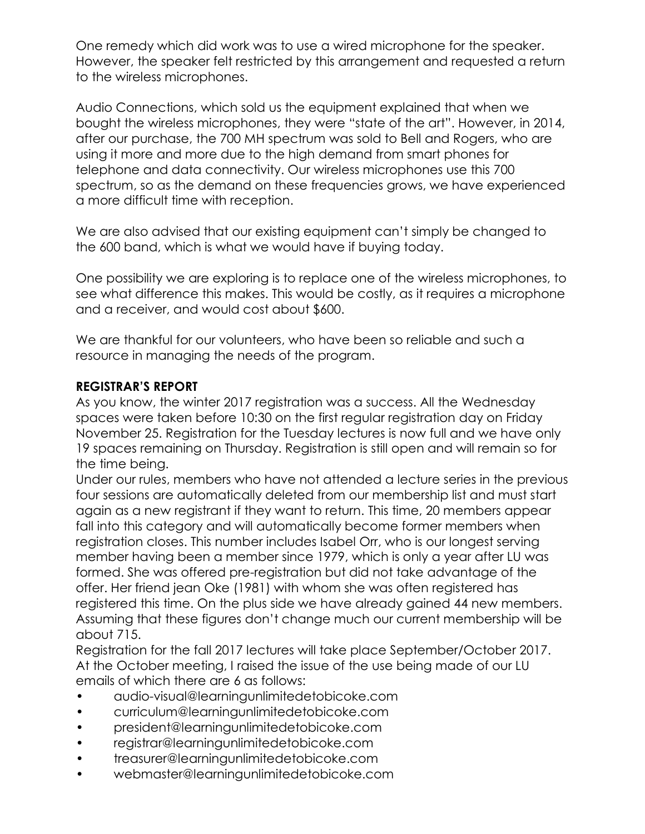One remedy which did work was to use a wired microphone for the speaker. However, the speaker felt restricted by this arrangement and requested a return to the wireless microphones.

Audio Connections, which sold us the equipment explained that when we bought the wireless microphones, they were "state of the art". However, in 2014, after our purchase, the 700 MH spectrum was sold to Bell and Rogers, who are using it more and more due to the high demand from smart phones for telephone and data connectivity. Our wireless microphones use this 700 spectrum, so as the demand on these frequencies grows, we have experienced a more difficult time with reception.

We are also advised that our existing equipment can't simply be changed to the 600 band, which is what we would have if buying today.

One possibility we are exploring is to replace one of the wireless microphones, to see what difference this makes. This would be costly, as it requires a microphone and a receiver, and would cost about \$600.

We are thankful for our volunteers, who have been so reliable and such a resource in managing the needs of the program.

## **REGISTRAR'S REPORT**

As you know, the winter 2017 registration was a success. All the Wednesday spaces were taken before 10:30 on the first regular registration day on Friday November 25. Registration for the Tuesday lectures is now full and we have only 19 spaces remaining on Thursday. Registration is still open and will remain so for the time being.

Under our rules, members who have not attended a lecture series in the previous four sessions are automatically deleted from our membership list and must start again as a new registrant if they want to return. This time, 20 members appear fall into this category and will automatically become former members when registration closes. This number includes Isabel Orr, who is our longest serving member having been a member since 1979, which is only a year after LU was formed. She was offered pre-registration but did not take advantage of the offer. Her friend jean Oke (1981) with whom she was often registered has registered this time. On the plus side we have already gained 44 new members. Assuming that these figures don't change much our current membership will be about 715.

Registration for the fall 2017 lectures will take place September/October 2017. At the October meeting, I raised the issue of the use being made of our LU emails of which there are 6 as follows:

- audio-visual@learningunlimitedetobicoke.com
- curriculum@learningunlimitedetobicoke.com
- president@learningunlimitedetobicoke.com
- registrar@learningunlimitedetobicoke.com
- treasurer@learningunlimitedetobicoke.com
- webmaster@learningunlimitedetobicoke.com